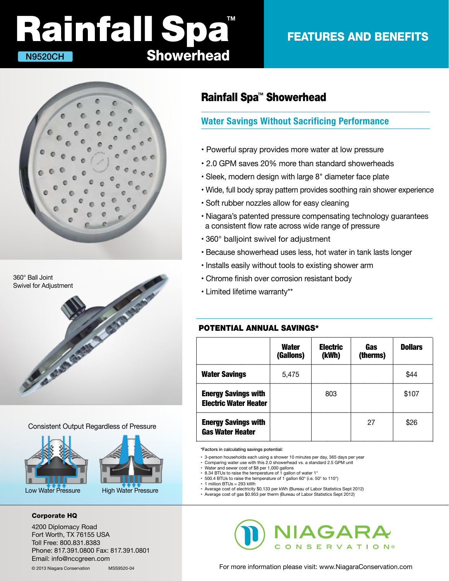# **Showerhead** Rainfall Spa<sup>m</sup> N9520CH

### FEATURES AND BENEFITS





#### Consistent Output Regardless of Pressure





#### Corporate HQ

4200 Diplomacy Road Fort Worth, TX 76155 USA Toll Free: 800.831.8383 Phone: 817.391.0800 Fax: 817.391.0801 Email: info@nccgreen.com

### Rainfall Spa<sup>™</sup> Showerhead

## Water Savings Without Sacrificing Performance

- Powerful spray provides more water at low pressure
- 2.0 GPM saves 20% more than standard showerheads
- Sleek, modern design with large 8" diameter face plate
- Wide, full body spray pattern provides soothing rain shower experience

 $\_$  , and the set of the set of the set of the set of the set of the set of the set of the set of the set of the set of the set of the set of the set of the set of the set of the set of the set of the set of the set of th

- Soft rubber nozzles allow for easy cleaning
- Niagara's patented pressure compensating technology guarantees a consistent flow rate across wide range of pressure
- 360° balljoint swivel for adjustment
- Because showerhead uses less, hot water in tank lasts longer
- Installs easily without tools to existing shower arm
- Chrome finish over corrosion resistant body
- Limited lifetime warranty\*\*

### POTENTIAL ANNUAL SAVINGS\*

|                                                            | <b>Water</b><br>(Gallons) | <b>Electric</b><br>(kWh) | <b>Gas</b><br>(therms) | <b>Dollars</b> |
|------------------------------------------------------------|---------------------------|--------------------------|------------------------|----------------|
| <b>Water Savings</b>                                       | 5,475                     |                          |                        | \$44           |
| <b>Energy Savings with</b><br><b>Electric Water Heater</b> |                           | 803                      |                        | \$107          |
| <b>Energy Savings with</b><br><b>Gas Water Heater</b>      |                           |                          | 27                     | \$26           |

\*Factors in calculating savings potential:

- 3-person households each using a shower 10 minutes per day, 365 days per year
- Comparing water use with this 2.0 showerhead vs. a standard 2.5 GPM unit
- Water and sewer cost of \$8 per 1,000 gallons
- 8.34 BTUs to raise the temperature of 1 gallon of water 1°
- 500.4 BTUs to raise the temperature of 1 gallon 60° (i.e. 50° to 110°)  $\cdot$  1 million BTUs = 293 kWh
- 
- Average cost of electricity \$0.133 per kWh (Bureau of Labor Statistics Sept 2012) Average cost of gas \$0.953 per therm (Bureau of Labor Statistics Sept 2012)



For more information please visit: www.NiagaraConservation.com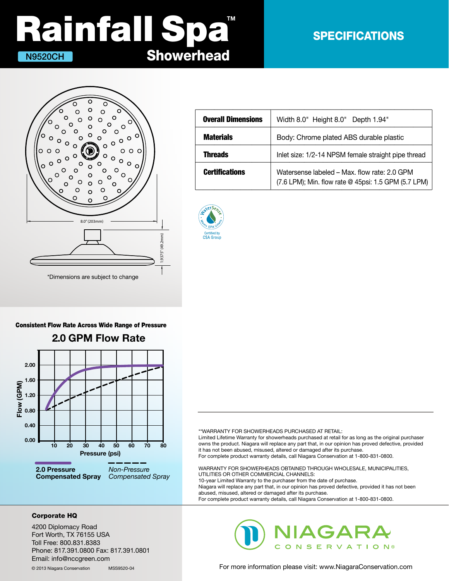# **Showerhead** Rainfall Spa<sup>®</sup> N9520CH

### SPECIFICATIONS



| <b>Overall Dimensions</b> | Width 8.0" Height 8.0" Depth 1.94"                                                                   |
|---------------------------|------------------------------------------------------------------------------------------------------|
| <b>Materials</b>          | Body: Chrome plated ABS durable plastic                                                              |
| <b>Threads</b>            | Inlet size: 1/2-14 NPSM female straight pipe thread                                                  |
| <b>Certifications</b>     | Watersense labeled - Max. flow rate: 2.0 GPM<br>(7.6 LPM); Min. flow rate @ 45psi: 1.5 GPM (5.7 LPM) |



#### Consistent Flow Rate Across Wide Range of Pressure



\*\*WARRANTY FOR SHOWERHEADS PURCHASED AT RETAIL:

Limited Lifetime Warranty for showerheads purchased at retail for as long as the original purchaser owns the product. Niagara will replace any part that, in our opinion has proved defective, provided it has not been abused, misused, altered or damaged after its purchase. For complete product warranty details, call Niagara Conservation at 1-800-831-0800.

WARRANTY FOR SHOWERHEADS OBTAINED THROUGH WHOLESALE, MUNICIPALITIES, UTILITIES OR OTHER COMMERCIAL CHANNELS: 10-year Limited Warranty to the purchaser from the date of purchase. Niagara will replace any part that, in our opinion has proved defective, provided it has not been abused, misused, altered or damaged after its purchase. For complete product warranty details, call Niagara Conservation at 1-800-831-0800.

#### Corporate HQ

4200 Diplomacy Road Fort Worth, TX 76155 USA Toll Free: 800.831.8383 Phone: 817.391.0800 Fax: 817.391.0801 Email: info@nccgreen.com

© 2013 Niagara Conservation MSS9520-04



For more information please visit: www.NiagaraConservation.com